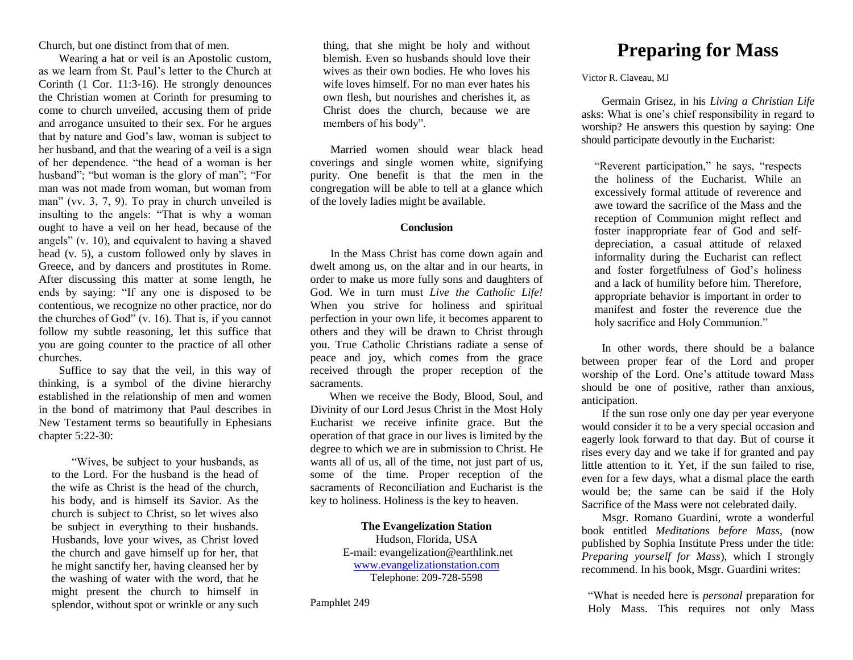Church, but one distinct from that of men.

Wearing a hat or veil is an Apostolic custom, as we learn from St. Paul's letter to the Church at Corinth (1 Cor. 11:3-16). He strongly denounces the Christian women at Corinth for presuming to come to church unveiled, accusing them of pride and arrogance unsuited to their sex. For he argues that by nature and God's law, woman is subject to her husband, and that the wearing of a veil is a sign of her dependence. "the head of a woman is her husband"; "but woman is the glory of man"; "For man was not made from woman, but woman from man" (vv. 3, 7, 9). To pray in church unveiled is insulting to the angels: "That is why a woman ought to have a veil on her head, because of the angels" (v. 10), and equivalent to having a shaved head (v. 5), a custom followed only by slaves in Greece, and by dancers and prostitutes in Rome. After discussing this matter at some length, he ends by saying: "If any one is disposed to be contentious, we recognize no other practice, nor do the churches of God" (v. 16). That is, if you cannot follow my subtle reasoning, let this suffice that you are going counter to the practice of all other churches.

Suffice to say that the veil, in this way of thinking, is a symbol of the divine hierarchy established in the relationship of men and women in the bond of matrimony that Paul describes in New Testament terms so beautifully in Ephesians chapter 5:22-30:

"Wives, be subject to your husbands, as to the Lord. For the husband is the head of the wife as Christ is the head of the church, his body, and is himself its Savior. As the church is subject to Christ, so let wives also be subject in everything to their husbands. Husbands, love your wives, as Christ loved the church and gave himself up for her, that he might sanctify her, having cleansed her by the washing of water with the word, that he might present the church to himself in splendor, without spot or wrinkle or any such

thing, that she might be holy and without blemish. Even so husbands should love their wives as their own bodies. He who loves his wife loves himself. For no man ever hates his own flesh, but nourishes and cherishes it, as Christ does the church, because we are members of his body".

Married women should wear black head coverings and single women white, signifying purity. One benefit is that the men in the congregation will be able to tell at a glance which of the lovely ladies might be available.

#### **Conclusion**

In the Mass Christ has come down again and dwelt among us, on the altar and in our hearts, in order to make us more fully sons and daughters of God. We in turn must *Live the Catholic Life!* When you strive for holiness and spiritual perfection in your own life, it becomes apparent to others and they will be drawn to Christ through you. True Catholic Christians radiate a sense of peace and joy, which comes from the grace received through the proper reception of the sacraments.

When we receive the Body, Blood, Soul, and Divinity of our Lord Jesus Christ in the Most Holy Eucharist we receive infinite grace. But the operation of that grace in our lives is limited by the degree to which we are in submission to Christ. He wants all of us, all of the time, not just part of us, some of the time. Proper reception of the sacraments of Reconciliation and Eucharist is the key to holiness. Holiness is the key to heaven.

> **The Evangelization Station** Hudson, Florida, USA E-mail: evangelization@earthlink.net [www.evangelizationstation.com](http://www.pjpiisoe.org/) Telephone: 209-728-5598

Pamphlet 249

# **Preparing for Mass**

Victor R. Claveau, MJ

Germain Grisez, in his *Living a Christian Life*  asks: What is one's chief responsibility in regard to worship? He answers this question by saying: One should participate devoutly in the Eucharist:

"Reverent participation," he says, "respects the holiness of the Eucharist. While an excessively formal attitude of reverence and awe toward the sacrifice of the Mass and the reception of Communion might reflect and foster inappropriate fear of God and selfdepreciation, a casual attitude of relaxed informality during the Eucharist can reflect and foster forgetfulness of God's holiness and a lack of humility before him. Therefore, appropriate behavior is important in order to manifest and foster the reverence due the holy sacrifice and Holy Communion."

In other words, there should be a balance between proper fear of the Lord and proper worship of the Lord. One's attitude toward Mass should be one of positive, rather than anxious, anticipation.

If the sun rose only one day per year everyone would consider it to be a very special occasion and eagerly look forward to that day. But of course it rises every day and we take if for granted and pay little attention to it. Yet, if the sun failed to rise, even for a few days, what a dismal place the earth would be; the same can be said if the Holy Sacrifice of the Mass were not celebrated daily.

Msgr. Romano Guardini, wrote a wonderful book entitled *Meditations before Mass*, (now published by Sophia Institute Press under the title: *Preparing yourself for Mass*), which I strongly recommend. In his book, Msgr*.* Guardini writes:

"What is needed here is *personal* preparation for Holy Mass. This requires not only Mass